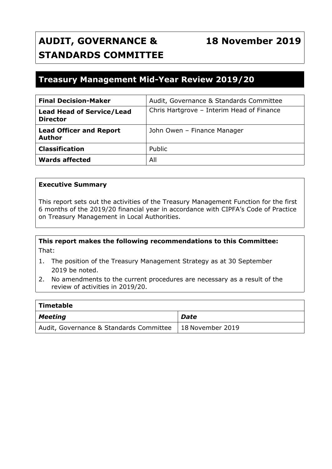# **AUDIT, GOVERNANCE & STANDARDS COMMITTEE**

# **18 November 2019**

# **Treasury Management Mid-Year Review 2019/20**

| <b>Final Decision-Maker</b>                         | Audit, Governance & Standards Committee   |
|-----------------------------------------------------|-------------------------------------------|
| <b>Lead Head of Service/Lead</b><br><b>Director</b> | Chris Hartgrove - Interim Head of Finance |
| <b>Lead Officer and Report</b><br><b>Author</b>     | John Owen - Finance Manager               |
| <b>Classification</b>                               | Public                                    |
| <b>Wards affected</b>                               | All                                       |

#### **Executive Summary**

This report sets out the activities of the Treasury Management Function for the first 6 months of the 2019/20 financial year in accordance with CIPFA's Code of Practice on Treasury Management in Local Authorities.

# **This report makes the following recommendations to this Committee:** That:

- 1. The position of the Treasury Management Strategy as at 30 September 2019 be noted.
- 2. No amendments to the current procedures are necessary as a result of the review of activities in 2019/20.

| Timetable                               |                          |  |  |  |  |  |  |
|-----------------------------------------|--------------------------|--|--|--|--|--|--|
| Meeting                                 | Date                     |  |  |  |  |  |  |
| Audit, Governance & Standards Committee | $\vert$ 18 November 2019 |  |  |  |  |  |  |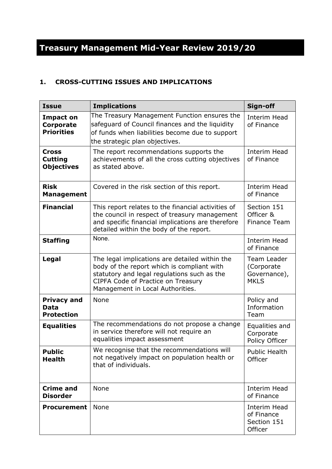# **Treasury Management Mid-Year Review 2019/20**

# **1. CROSS-CUTTING ISSUES AND IMPLICATIONS**

| <b>Issue</b>                                              | <b>Implications</b>                                                                                                                                                                                                   | Sign-off                                                 |  |  |
|-----------------------------------------------------------|-----------------------------------------------------------------------------------------------------------------------------------------------------------------------------------------------------------------------|----------------------------------------------------------|--|--|
| <b>Impact on</b><br><b>Corporate</b><br><b>Priorities</b> | The Treasury Management Function ensures the<br>safeguard of Council finances and the liquidity<br>of funds when liabilities become due to support<br>the strategic plan objectives.                                  | Interim Head<br>of Finance                               |  |  |
| <b>Cross</b><br><b>Cutting</b><br><b>Objectives</b>       | The report recommendations supports the<br>achievements of all the cross cutting objectives<br>as stated above.                                                                                                       | Interim Head<br>of Finance                               |  |  |
| <b>Risk</b><br><b>Management</b>                          | Covered in the risk section of this report.                                                                                                                                                                           | <b>Interim Head</b><br>of Finance                        |  |  |
| <b>Financial</b>                                          | This report relates to the financial activities of<br>the council in respect of treasury management<br>and specific financial implications are therefore<br>detailed within the body of the report.                   | Section 151<br>Officer &<br><b>Finance Team</b>          |  |  |
| <b>Staffing</b>                                           | None.                                                                                                                                                                                                                 | Interim Head<br>of Finance                               |  |  |
| Legal                                                     | The legal implications are detailed within the<br>body of the report which is compliant with<br>statutory and legal regulations such as the<br>CIPFA Code of Practice on Treasury<br>Management in Local Authorities. | Team Leader<br>(Corporate<br>Governance),<br><b>MKLS</b> |  |  |
| <b>Privacy and</b><br><b>Data</b><br><b>Protection</b>    | None                                                                                                                                                                                                                  | Policy and<br>Information<br>Team                        |  |  |
| <b>Equalities</b>                                         | The recommendations do not propose a change<br>in service therefore will not require an<br>equalities impact assessment                                                                                               | Equalities and<br>Corporate<br>Policy Officer            |  |  |
| <b>Public</b><br><b>Health</b>                            | We recognise that the recommendations will<br>not negatively impact on population health or<br>that of individuals.                                                                                                   | <b>Public Health</b><br>Officer                          |  |  |
| <b>Crime and</b><br><b>Disorder</b>                       | None                                                                                                                                                                                                                  | Interim Head<br>of Finance                               |  |  |
| <b>Procurement</b>                                        | None                                                                                                                                                                                                                  | Interim Head<br>of Finance<br>Section 151<br>Officer     |  |  |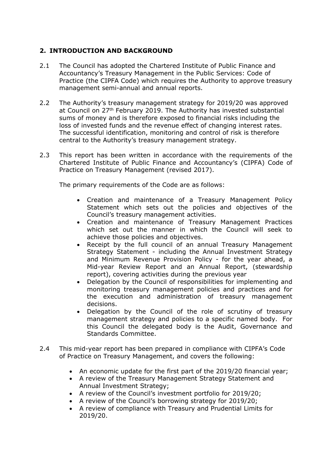# **2. INTRODUCTION AND BACKGROUND**

- 2.1 The Council has adopted the Chartered Institute of Public Finance and Accountancy's Treasury Management in the Public Services: Code of Practice (the CIPFA Code) which requires the Authority to approve treasury management semi-annual and annual reports.
- 2.2 The Authority's treasury management strategy for 2019/20 was approved at Council on 27<sup>th</sup> February 2019. The Authority has invested substantial sums of money and is therefore exposed to financial risks including the loss of invested funds and the revenue effect of changing interest rates. The successful identification, monitoring and control of risk is therefore central to the Authority's treasury management strategy.
- 2.3 This report has been written in accordance with the requirements of the Chartered Institute of Public Finance and Accountancy's (CIPFA) Code of Practice on Treasury Management (revised 2017).

The primary requirements of the Code are as follows:

- Creation and maintenance of a Treasury Management Policy Statement which sets out the policies and objectives of the Council's treasury management activities.
- Creation and maintenance of Treasury Management Practices which set out the manner in which the Council will seek to achieve those policies and objectives.
- Receipt by the full council of an annual Treasury Management Strategy Statement - including the Annual Investment Strategy and Minimum Revenue Provision Policy - for the year ahead, a Mid-year Review Report and an Annual Report, (stewardship report), covering activities during the previous year
- Delegation by the Council of responsibilities for implementing and monitoring treasury management policies and practices and for the execution and administration of treasury management decisions.
- Delegation by the Council of the role of scrutiny of treasury management strategy and policies to a specific named body. For this Council the delegated body is the Audit, Governance and Standards Committee.
- 2.4 This mid-year report has been prepared in compliance with CIPFA's Code of Practice on Treasury Management, and covers the following:
	- An economic update for the first part of the 2019/20 financial year;
	- A review of the Treasury Management Strategy Statement and Annual Investment Strategy;
	- A review of the Council's investment portfolio for 2019/20;
	- A review of the Council's borrowing strategy for 2019/20;
	- A review of compliance with Treasury and Prudential Limits for 2019/20.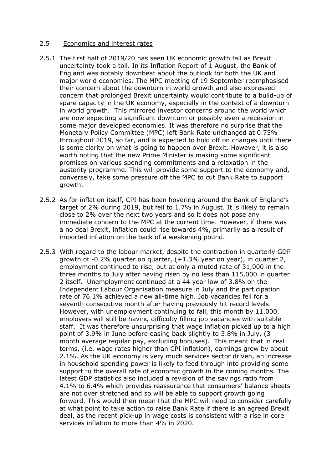# 2.5 Economics and interest rates

- 2.5.1 The first half of 2019/20 has seen UK economic growth fall as Brexit uncertainty took a toll. In its Inflation Report of 1 August, the Bank of England was notably downbeat about the outlook for both the UK and major world economies. The MPC meeting of 19 September reemphasised their concern about the downturn in world growth and also expressed concern that prolonged Brexit uncertainty would contribute to a build-up of spare capacity in the UK economy, especially in the context of a downturn in world growth. This mirrored investor concerns around the world which are now expecting a significant downturn or possibly even a recession in some major developed economies. It was therefore no surprise that the Monetary Policy Committee (MPC) left Bank Rate unchanged at 0.75% throughout 2019, so far, and is expected to hold off on changes until there is some clarity on what is going to happen over Brexit. However, it is also worth noting that the new Prime Minister is making some significant promises on various spending commitments and a relaxation in the austerity programme. This will provide some support to the economy and, conversely, take some pressure off the MPC to cut Bank Rate to support growth.
- 2.5.2 As for inflation itself, CPI has been hovering around the Bank of England's target of 2% during 2019, but fell to 1.7% in August. It is likely to remain close to 2% over the next two years and so it does not pose any immediate concern to the MPC at the current time. However, if there was a no deal Brexit, inflation could rise towards 4%, primarily as a result of imported inflation on the back of a weakening pound.
- 2.5.3 With regard to the labour market, despite the contraction in quarterly GDP growth of -0.2% quarter on quarter, (+1.3% year on year), in quarter 2, employment continued to rise, but at only a muted rate of 31,000 in the three months to July after having risen by no less than 115,000 in quarter 2 itself. Unemployment continued at a 44 year low of 3.8% on the Independent Labour Organisation measure in July and the participation rate of 76.1% achieved a new all-time high. Job vacancies fell for a seventh consecutive month after having previously hit record levels. However, with unemployment continuing to fall, this month by 11,000, employers will still be having difficulty filling job vacancies with suitable staff. It was therefore unsurprising that wage inflation picked up to a high point of 3.9% in June before easing back slightly to 3.8% in July, (3 month average regular pay, excluding bonuses). This meant that in real terms, (i.e. wage rates higher than CPI inflation), earnings grew by about 2.1%. As the UK economy is very much services sector driven, an increase in household spending power is likely to feed through into providing some support to the overall rate of economic growth in the coming months. The latest GDP statistics also included a revision of the savings ratio from 4.1% to 6.4% which provides reassurance that consumers' balance sheets are not over stretched and so will be able to support growth going forward. This would then mean that the MPC will need to consider carefully at what point to take action to raise Bank Rate if there is an agreed Brexit deal, as the recent pick-up in wage costs is consistent with a rise in core services inflation to more than 4% in 2020.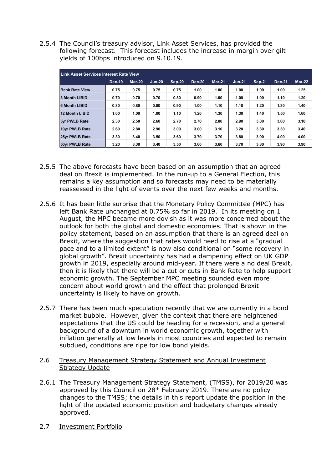2.5.4 The Council's treasury advisor, Link Asset Services, has provided the following forecast. This forecast includes the increase in margin over gilt yields of 100bps introduced on 9.10.19.

| Link Asset Services Interest Rate View |               |          |          |        |               |          |          |          |               |               |
|----------------------------------------|---------------|----------|----------|--------|---------------|----------|----------|----------|---------------|---------------|
|                                        | <b>Dec-19</b> | $Mar-20$ | $Jun-20$ | Sep-20 | <b>Dec-20</b> | $Mar-21$ | $Jun-21$ | $Sep-21$ | <b>Dec-21</b> | <b>Mar-22</b> |
| <b>Bank Rate View</b>                  | 0.75          | 0.75     | 0.75     | 0.75   | 1.00          | 1.00     | 1.00     | 1.00     | 1.00          | 1.25          |
| 3 Month LIBID                          | 0.70          | 0.70     | 0.70     | 0.80   | 0.90          | 1.00     | 1.00     | 1.00     | 1.10          | 1.20          |
| <b>6 Month LIBID</b>                   | 0.80          | 0.80     | 0.80     | 0.90   | 1.00          | 1.10     | 1.10     | 1.20     | 1.30          | 1.40          |
| 12 Month LIBID                         | 1.00          | 1.00     | 1.00     | 1.10   | 1.20          | 1.30     | 1.30     | 1.40     | 1.50          | 1.60          |
| <b>5yr PWLB Rate</b>                   | 2.30          | 2.50     | 2.60     | 2.70   | 2.70          | 2.80     | 2.90     | 3.00     | 3.00          | 3.10          |
| 10yr PWLB Rate                         | 2.60          | 2.80     | 2.90     | 3.00   | 3.00          | 3.10     | 3.20     | 3.30     | 3.30          | 3.40          |
| 25vr PWLB Rate                         | 3.30          | 3.40     | 3.50     | 3.60   | 3.70          | 3.70     | 3.80     | 3.90     | 4.00          | 4.00          |
| 50vr PWLB Rate                         | 3.20          | 3.30     | 3.40     | 3.50   | 3.60          | 3.60     | 3.70     | 3.80     | 3.90          | 3.90          |

- 2.5.5 The above forecasts have been based on an assumption that an agreed deal on Brexit is implemented. In the run-up to a General Election, this remains a key assumption and so forecasts may need to be materially reassessed in the light of events over the next few weeks and months.
- 2.5.6 It has been little surprise that the Monetary Policy Committee (MPC) has left Bank Rate unchanged at 0.75% so far in 2019. In its meeting on 1 August, the MPC became more dovish as it was more concerned about the outlook for both the global and domestic economies. That is shown in the policy statement, based on an assumption that there is an agreed deal on Brexit, where the suggestion that rates would need to rise at a "gradual pace and to a limited extent" is now also conditional on "some recovery in global growth". Brexit uncertainty has had a dampening effect on UK GDP growth in 2019, especially around mid-year. If there were a no deal Brexit, then it is likely that there will be a cut or cuts in Bank Rate to help support economic growth. The September MPC meeting sounded even more concern about world growth and the effect that prolonged Brexit uncertainty is likely to have on growth.
- 2.5.7 There has been much speculation recently that we are currently in a bond market bubble. However, given the context that there are heightened expectations that the US could be heading for a recession, and a general background of a downturn in world economic growth, together with inflation generally at low levels in most countries and expected to remain subdued, conditions are ripe for low bond yields.
- 2.6 Treasury Management Strategy Statement and Annual Investment Strategy Update
- 2.6.1 The Treasury Management Strategy Statement, (TMSS), for 2019/20 was approved by this Council on 28<sup>th</sup> February 2019. There are no policy changes to the TMSS; the details in this report update the position in the light of the updated economic position and budgetary changes already approved.
- 2.7 Investment Portfolio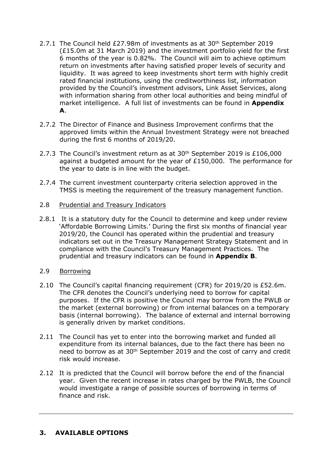- 2.7.1 The Council held £27.98m of investments as at 30<sup>th</sup> September 2019 (£15.0m at 31 March 2019) and the investment portfolio yield for the first 6 months of the year is 0.82%. The Council will aim to achieve optimum return on investments after having satisfied proper levels of security and liquidity. It was agreed to keep investments short term with highly credit rated financial institutions, using the creditworthiness list, information provided by the Council's investment advisors, Link Asset Services, along with information sharing from other local authorities and being mindful of market intelligence. A full list of investments can be found in **Appendix A**.
- 2.7.2 The Director of Finance and Business Improvement confirms that the approved limits within the Annual Investment Strategy were not breached during the first 6 months of 2019/20.
- 2.7.3 The Council's investment return as at 30<sup>th</sup> September 2019 is £106,000 against a budgeted amount for the year of £150,000. The performance for the year to date is in line with the budget.
- 2.7.4 The current investment counterparty criteria selection approved in the TMSS is meeting the requirement of the treasury management function.

#### 2.8 Prudential and Treasury Indicators

2.8.1 It is a statutory duty for the Council to determine and keep under review 'Affordable Borrowing Limits.' During the first six months of financial year 2019/20, the Council has operated within the prudential and treasury indicators set out in the Treasury Management Strategy Statement and in compliance with the Council's Treasury Management Practices. The prudential and treasury indicators can be found in **Appendix B**.

# 2.9 Borrowing

- 2.10 The Council's capital financing requirement (CFR) for 2019/20 is £52.6m. The CFR denotes the Council's underlying need to borrow for capital purposes. If the CFR is positive the Council may borrow from the PWLB or the market (external borrowing) or from internal balances on a temporary basis (internal borrowing). The balance of external and internal borrowing is generally driven by market conditions.
- 2.11 The Council has yet to enter into the borrowing market and funded all expenditure from its internal balances, due to the fact there has been no need to borrow as at 30th September 2019 and the cost of carry and credit risk would increase.
- 2.12 It is predicted that the Council will borrow before the end of the financial year. Given the recent increase in rates charged by the PWLB, the Council would investigate a range of possible sources of borrowing in terms of finance and risk.

# **3. AVAILABLE OPTIONS**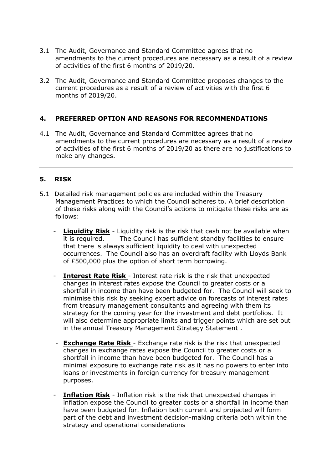- 3.1 The Audit, Governance and Standard Committee agrees that no amendments to the current procedures are necessary as a result of a review of activities of the first 6 months of 2019/20.
- 3.2 The Audit, Governance and Standard Committee proposes changes to the current procedures as a result of a review of activities with the first 6 months of 2019/20.

#### **4. PREFERRED OPTION AND REASONS FOR RECOMMENDATIONS**

4.1 The Audit, Governance and Standard Committee agrees that no amendments to the current procedures are necessary as a result of a review of activities of the first 6 months of 2019/20 as there are no justifications to make any changes.

# **5. RISK**

- 5.1 Detailed risk management policies are included within the Treasury Management Practices to which the Council adheres to. A brief description of these risks along with the Council's actions to mitigate these risks are as follows:
	- **Liquidity Risk** Liquidity risk is the risk that cash not be available when it is required. The Council has sufficient standby facilities to ensure that there is always sufficient liquidity to deal with unexpected occurrences. The Council also has an overdraft facility with Lloyds Bank of £500,000 plus the option of short term borrowing.
	- **Interest Rate Risk** Interest rate risk is the risk that unexpected changes in interest rates expose the Council to greater costs or a shortfall in income than have been budgeted for. The Council will seek to minimise this risk by seeking expert advice on forecasts of interest rates from treasury management consultants and agreeing with them its strategy for the coming year for the investment and debt portfolios. It will also determine appropriate limits and trigger points which are set out in the annual Treasury Management Strategy Statement .
	- **Exchange Rate Risk** Exchange rate risk is the risk that unexpected changes in exchange rates expose the Council to greater costs or a shortfall in income than have been budgeted for. The Council has a minimal exposure to exchange rate risk as it has no powers to enter into loans or investments in foreign currency for treasury management purposes.
	- **Inflation Risk** Inflation risk is the risk that unexpected changes in inflation expose the Council to greater costs or a shortfall in income than have been budgeted for. Inflation both current and projected will form part of the debt and investment decision-making criteria both within the strategy and operational considerations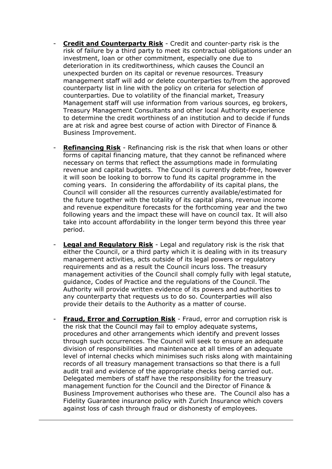- **Credit and Counterparty Risk** Credit and counter-party risk is the risk of failure by a third party to meet its contractual obligations under an investment, loan or other commitment, especially one due to deterioration in its creditworthiness, which causes the Council an unexpected burden on its capital or revenue resources. Treasury management staff will add or delete counterparties to/from the approved counterparty list in line with the policy on criteria for selection of counterparties. Due to volatility of the financial market, Treasury Management staff will use information from various sources, eg brokers, Treasury Management Consultants and other local Authority experience to determine the credit worthiness of an institution and to decide if funds are at risk and agree best course of action with Director of Finance & Business Improvement.
- **Refinancing Risk** Refinancing risk is the risk that when loans or other forms of capital financing mature, that they cannot be refinanced where necessary on terms that reflect the assumptions made in formulating revenue and capital budgets. The Council is currently debt-free, however it will soon be looking to borrow to fund its capital programme in the coming years. In considering the affordability of its capital plans, the Council will consider all the resources currently available/estimated for the future together with the totality of its capital plans, revenue income and revenue expenditure forecasts for the forthcoming year and the two following years and the impact these will have on council tax. It will also take into account affordability in the longer term beyond this three year period.
- **Legal and Regulatory Risk** Legal and regulatory risk is the risk that either the Council, or a third party which it is dealing with in its treasury management activities, acts outside of its legal powers or regulatory requirements and as a result the Council incurs loss. The treasury management activities of the Council shall comply fully with legal statute, guidance, Codes of Practice and the regulations of the Council. The Authority will provide written evidence of its powers and authorities to any counterparty that requests us to do so. Counterparties will also provide their details to the Authority as a matter of course.
- **Fraud, Error and Corruption Risk** Fraud, error and corruption risk is the risk that the Council may fail to employ adequate systems, procedures and other arrangements which identify and prevent losses through such occurrences. The Council will seek to ensure an adequate division of responsibilities and maintenance at all times of an adequate level of internal checks which minimises such risks along with maintaining records of all treasury management transactions so that there is a full audit trail and evidence of the appropriate checks being carried out. Delegated members of staff have the responsibility for the treasury management function for the Council and the Director of Finance & Business Improvement authorises who these are. The Council also has a Fidelity Guarantee insurance policy with Zurich Insurance which covers against loss of cash through fraud or dishonesty of employees.